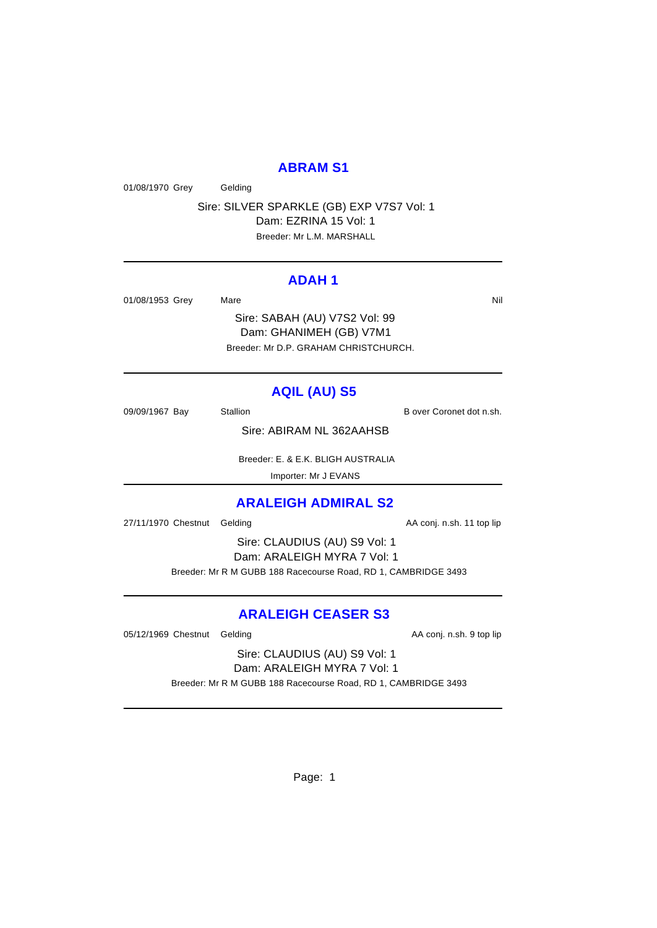### **ABRAM S1**

01/08/1970 Grey Gelding

Sire: SILVER SPARKLE (GB) EXP V7S7 Vol: 1 Dam: EZRINA 15 Vol: 1 Breeder: Mr L.M. MARSHALL

### **ADAH 1**

01/08/1953 Grey Mare Mare Nil

Sire: SABAH (AU) V7S2 Vol: 99 Dam: GHANIMEH (GB) V7M1 Breeder: Mr D.P. GRAHAM CHRISTCHURCH.

# **AQIL (AU) S5**

09/09/1967 Bay Stallion Stallion B over Coronet dot n.sh.

Sire: ABIRAM NL 362AAHSB

 Breeder: E. & E.K. BLIGH AUSTRALIA Importer: Mr J EVANS

# **ARALEIGH ADMIRAL S2**

27/11/1970 Chestnut Gelding and and the AA conj. n.sh. 11 top lip

Sire: CLAUDIUS (AU) S9 Vol: 1 Dam: ARALEIGH MYRA 7 Vol: 1 Breeder: Mr R M GUBB 188 Racecourse Road, RD 1, CAMBRIDGE 3493

# **ARALEIGH CEASER S3**

05/12/1969 Chestnut Gelding and analysis of the AA conj. n.sh. 9 top lip

Sire: CLAUDIUS (AU) S9 Vol: 1 Dam: ARALEIGH MYRA 7 Vol: 1

Breeder: Mr R M GUBB 188 Racecourse Road, RD 1, CAMBRIDGE 3493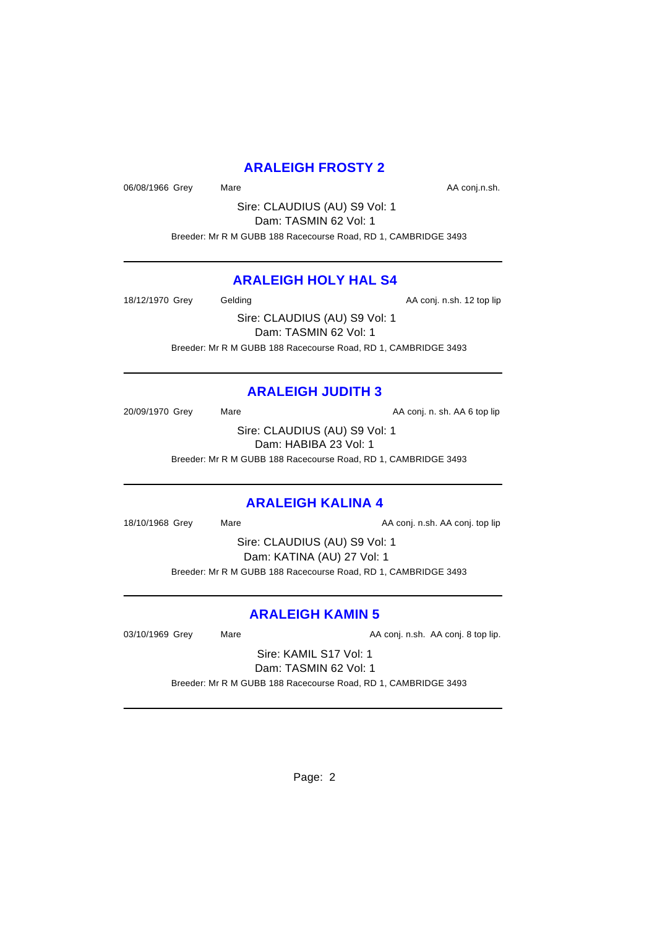# **ARALEIGH FROSTY 2**

06/08/1966 Grey Mare Mare AA conj.n.sh.

Sire: CLAUDIUS (AU) S9 Vol: 1 Dam: TASMIN 62 Vol: 1

Breeder: Mr R M GUBB 188 Racecourse Road, RD 1, CAMBRIDGE 3493

# **ARALEIGH HOLY HAL S4**

18/12/1970 Grey Gelding Cases Conj. n.sh. 12 top lip

Sire: CLAUDIUS (AU) S9 Vol: 1 Dam: TASMIN 62 Vol: 1 Breeder: Mr R M GUBB 188 Racecourse Road, RD 1, CAMBRIDGE 3493

# **ARALEIGH JUDITH 3**

20/09/1970 Grey Mare Mare AA conj. n. sh. AA 6 top lip

Sire: CLAUDIUS (AU) S9 Vol: 1 Dam: HABIBA 23 Vol: 1

Breeder: Mr R M GUBB 188 Racecourse Road, RD 1, CAMBRIDGE 3493

# **ARALEIGH KALINA 4**

18/10/1968 Grey Mare Mare AA conj. n.sh. AA conj. top lip

Sire: CLAUDIUS (AU) S9 Vol: 1 Dam: KATINA (AU) 27 Vol: 1 Breeder: Mr R M GUBB 188 Racecourse Road, RD 1, CAMBRIDGE 3493

# **ARALEIGH KAMIN 5**

03/10/1969 Grey Mare Mare AA conj. n.sh. AA conj. 8 top lip.

Sire: KAMIL S17 Vol: 1 Dam: TASMIN 62 Vol: 1

Breeder: Mr R M GUBB 188 Racecourse Road, RD 1, CAMBRIDGE 3493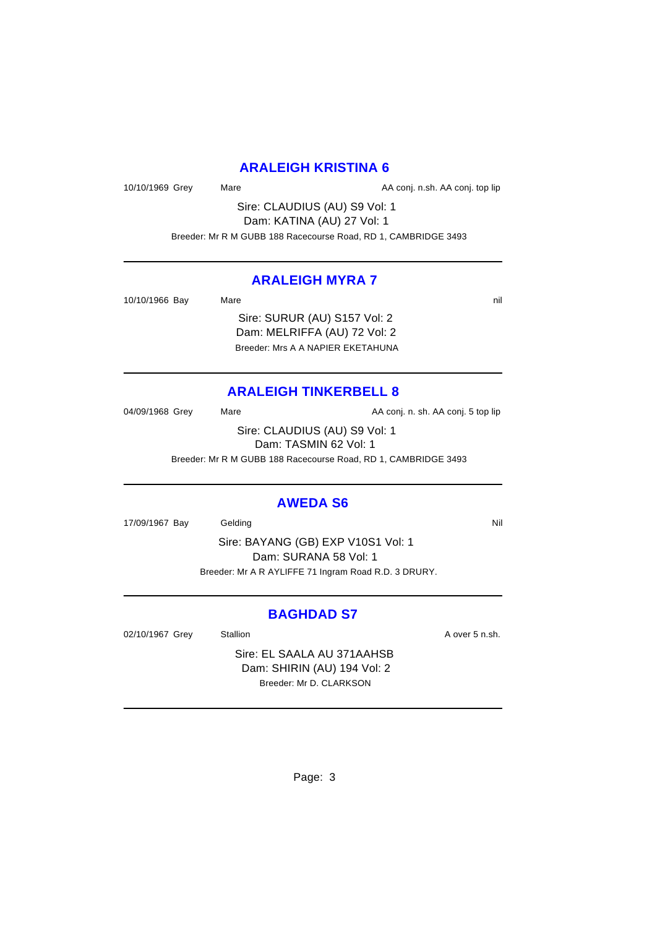### **ARALEIGH KRISTINA 6**

10/10/1969 Grey Mare Mare AA conj. n.sh. AA conj. top lip

Sire: CLAUDIUS (AU) S9 Vol: 1 Dam: KATINA (AU) 27 Vol: 1 Breeder: Mr R M GUBB 188 Racecourse Road, RD 1, CAMBRIDGE 3493

### **ARALEIGH MYRA 7**

10/10/1966 Bay Mare natural method of the nil and the nil and the nil and the nil and the nil and the nil and the nil and the nil and the nil and the nil and the nil and the nil and the nil and the nil and the nil and the

Sire: SURUR (AU) S157 Vol: 2 Dam: MELRIFFA (AU) 72 Vol: 2 Breeder: Mrs A A NAPIER EKETAHUNA

### **ARALEIGH TINKERBELL 8**

04/09/1968 Grey Mare Mare AA conj. n. sh. AA conj. 5 top lip Sire: CLAUDIUS (AU) S9 Vol: 1 Dam: TASMIN 62 Vol: 1 Breeder: Mr R M GUBB 188 Racecourse Road, RD 1, CAMBRIDGE 3493

### **AWEDA S6**

17/09/1967 Bay Gelding Communication of the Nil

Sire: BAYANG (GB) EXP V10S1 Vol: 1 Dam: SURANA 58 Vol: 1 Breeder: Mr A R AYLIFFE 71 Ingram Road R.D. 3 DRURY.

### **BAGHDAD S7**

02/10/1967 Grey Stallion Stallion State State A over 5 n.sh.

Sire: EL SAALA AU 371AAHSB Dam: SHIRIN (AU) 194 Vol: 2 Breeder: Mr D. CLARKSON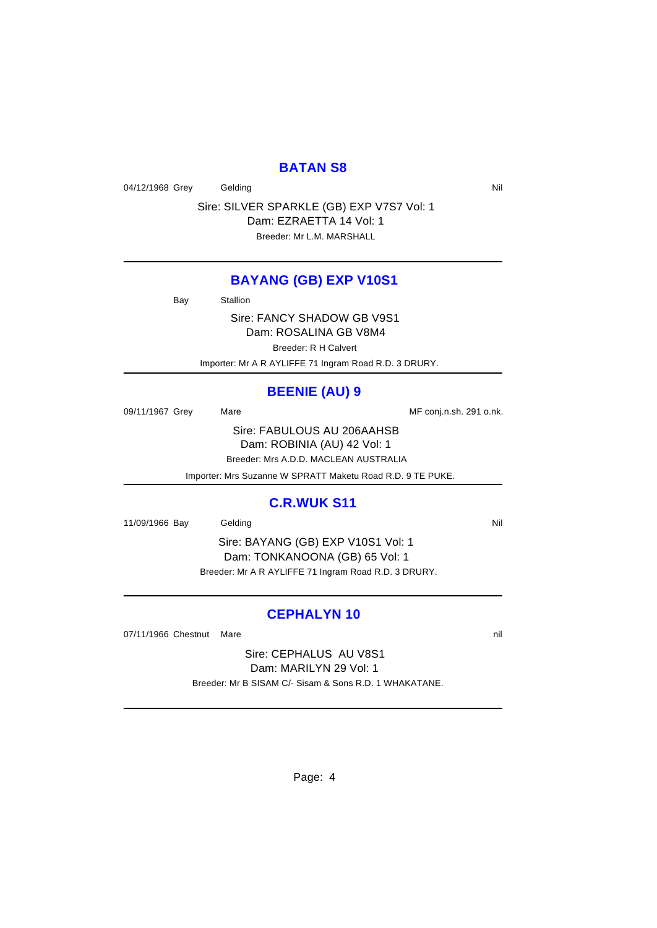### **BATAN S8**

04/12/1968 Grey Gelding Care Contact Contact Contact Contact Contact Contact Contact Contact Contact Contact Contact Contact Contact Contact Contact Contact Contact Contact Contact Contact Contact Contact Contact Contact C

Sire: SILVER SPARKLE (GB) EXP V7S7 Vol: 1 Dam: EZRAETTA 14 Vol: 1 Breeder: Mr L.M. MARSHALL

#### **BAYANG (GB) EXP V10S1**

Bay Stallion

Sire: FANCY SHADOW GB V9S1 Dam: ROSALINA GB V8M4

Breeder: R H Calvert

Importer: Mr A R AYLIFFE 71 Ingram Road R.D. 3 DRURY.

# **BEENIE (AU) 9**

09/11/1967 Grey Mare Mare ME conj.n.sh. 291 o.nk. Sire: FABULOUS AU 206AAHSB Dam: ROBINIA (AU) 42 Vol: 1

Breeder: Mrs A.D.D. MACLEAN AUSTRALIA

Importer: Mrs Suzanne W SPRATT Maketu Road R.D. 9 TE PUKE.

### **C.R.WUK S11**

11/09/1966 Bay Gelding Communication of the Nil

Sire: BAYANG (GB) EXP V10S1 Vol: 1 Dam: TONKANOONA (GB) 65 Vol: 1 Breeder: Mr A R AYLIFFE 71 Ingram Road R.D. 3 DRURY.

# **CEPHALYN 10**

07/11/1966 Chestnut Mare nill and the nill and the nill and the nill and the nill and the nill and the nill and the nill and the nill and the nill and the nill and the nill and the nill and the nill and the nill and the ni

Sire: CEPHALUS AU V8S1 Dam: MARILYN 29 Vol: 1 Breeder: Mr B SISAM C/- Sisam & Sons R.D. 1 WHAKATANE.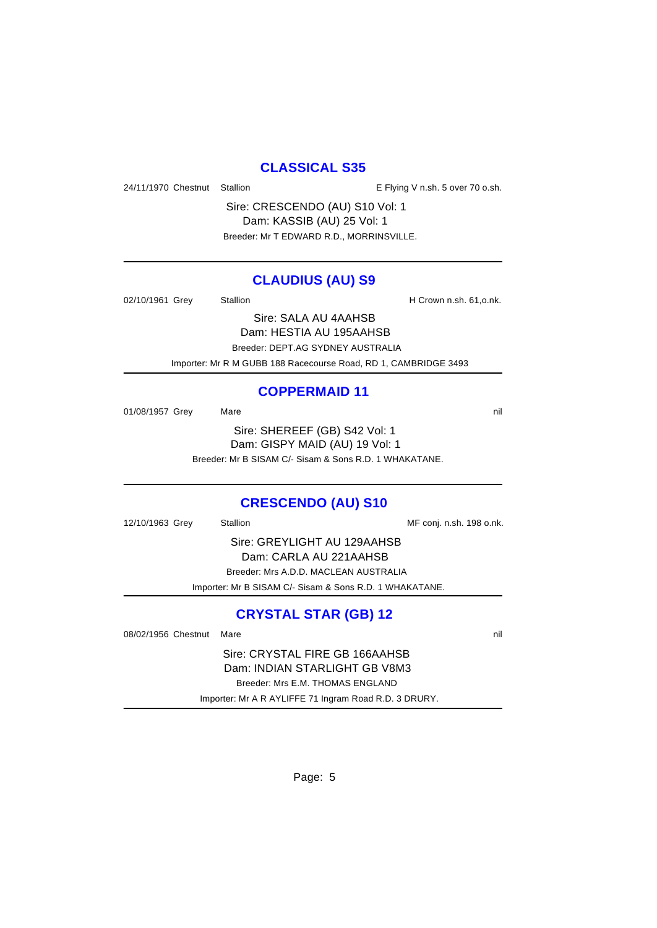### **CLASSICAL S35**

24/11/1970 Chestnut Stallion **E** Flying V n.sh. 5 over 70 o.sh.

Sire: CRESCENDO (AU) S10 Vol: 1 Dam: KASSIB (AU) 25 Vol: 1 Breeder: Mr T EDWARD R.D., MORRINSVILLE.

### **CLAUDIUS (AU) S9**

02/10/1961 Grey Stallion Stallion H Crown n.sh. 61, o.nk.

Sire: SALA AU 4AAHSB Dam: HESTIA AU 195AAHSB Breeder: DEPT.AG SYDNEY AUSTRALIA

Importer: Mr R M GUBB 188 Racecourse Road, RD 1, CAMBRIDGE 3493

### **COPPERMAID 11**

01/08/1957 Grey Mare Mare nill and the nill and the nill and the nill and the nill and the nill and the nill and the nill and the nill and the nill and the nill and the nill and the nill and the nill and the nill and the n Sire: SHEREEF (GB) S42 Vol: 1 Dam: GISPY MAID (AU) 19 Vol: 1 Breeder: Mr B SISAM C/- Sisam & Sons R.D. 1 WHAKATANE.

### **CRESCENDO (AU) S10**

12/10/1963 Grey Stallion Stallion Stallion MF conj. n.sh. 198 o.nk. Sire: GREYLIGHT AU 129AAHSB Dam: CARLA AU 221AAHSB Breeder: Mrs A.D.D. MACLEAN AUSTRALIA Importer: Mr B SISAM C/- Sisam & Sons R.D. 1 WHAKATANE.

# **CRYSTAL STAR (GB) 12**

08/02/1956 Chestnut Mare nill and the nill and the nill and the nill and the nill and the nill and the nill and the nill and the nill and the nill and the nill and the nill and the nill and the nill and the nill and the ni

Sire: CRYSTAL FIRE GB 166AAHSB Dam: INDIAN STARLIGHT GB V8M3 Breeder: Mrs E.M. THOMAS ENGLAND Importer: Mr A R AYLIFFE 71 Ingram Road R.D. 3 DRURY.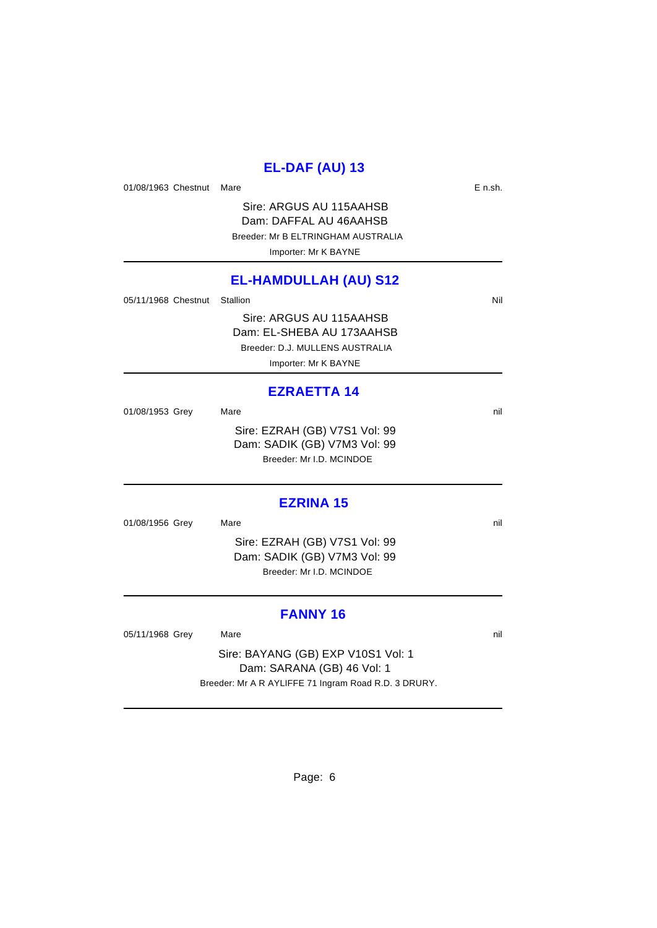### **EL-DAF (AU) 13**

01/08/1963 Chestnut Mare **Example 2019** E n.sh.

Sire: ARGUS AU 115AAHSB Dam: DAFFAL AU 46AAHSB Breeder: Mr B ELTRINGHAM AUSTRALIA Importer: Mr K BAYNE

### **EL-HAMDULLAH (AU) S12**

05/11/1968 Chestnut Stallion Nil and State of the Nil and State of Nil and State of Nil and State of Nil and St

Sire: ARGUS AU 115AAHSB Dam: EL-SHEBA AU 173AAHSB Breeder: D.J. MULLENS AUSTRALIA Importer: Mr K BAYNE

#### **EZRAETTA 14**

01/08/1953 Grey Mare nil and the nil and the nil and the nil and the nil and the nil and the nil and the nil and the nil and the nil and the nil and the nil and the nil and the nil and the nil and the nil and the nil and t Sire: EZRAH (GB) V7S1 Vol: 99 Dam: SADIK (GB) V7M3 Vol: 99 Breeder: Mr I.D. MCINDOE

### **EZRINA 15**

01/08/1956 Grey Mare natural Mare nill and the matrix of the matrix of the matrix of the matrix of the matrix of the matrix of the matrix of the matrix of the matrix of the matrix of the matrix of the matrix of the matrix

Sire: EZRAH (GB) V7S1 Vol: 99 Dam: SADIK (GB) V7M3 Vol: 99 Breeder: Mr I.D. MCINDOE

### **FANNY 16**

05/11/1968 Grey Mare 2012 Mare nill

Sire: BAYANG (GB) EXP V10S1 Vol: 1 Dam: SARANA (GB) 46 Vol: 1 Breeder: Mr A R AYLIFFE 71 Ingram Road R.D. 3 DRURY.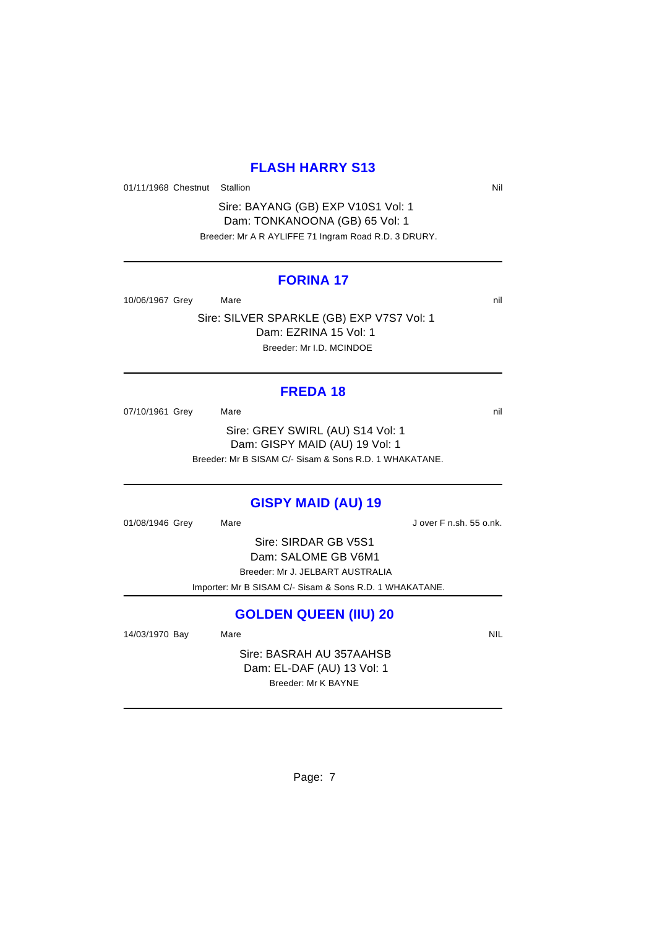# **FLASH HARRY S13**

01/11/1968 Chestnut Stallion Nil

Sire: BAYANG (GB) EXP V10S1 Vol: 1 Dam: TONKANOONA (GB) 65 Vol: 1 Breeder: Mr A R AYLIFFE 71 Ingram Road R.D. 3 DRURY.

### **FORINA 17**

10/06/1967 Grey Mare natural Mare nill and Mare nill and Mare nill and Mare nill and Mare nill and Mare nill and Mare nill and Mare nill and Mare nill and Mare nill and Mare nill and Mare nill and Mare nill and Mare nill a

Sire: SILVER SPARKLE (GB) EXP V7S7 Vol: 1 Dam: EZRINA 15 Vol: 1 Breeder: Mr I.D. MCINDOE

### **FREDA 18**

07/10/1961 Grey Mare Mare nill and the matrix of the matrix of the matrix of the matrix of the matrix of the matrix of the matrix of the matrix of the matrix of the matrix of the matrix of the matrix of the matrix of the m Sire: GREY SWIRL (AU) S14 Vol: 1 Dam: GISPY MAID (AU) 19 Vol: 1 Breeder: Mr B SISAM C/- Sisam & Sons R.D. 1 WHAKATANE.

### **GISPY MAID (AU) 19**

01/08/1946 Grey Mare Mare Jover F n.sh. 55 o.nk.

Sire: SIRDAR GB V5S1 Dam: SALOME GB V6M1 Breeder: Mr J. JELBART AUSTRALIA Importer: Mr B SISAM C/- Sisam & Sons R.D. 1 WHAKATANE.

# **GOLDEN QUEEN (IIU) 20**

14/03/1970 Bay Mare Mare NIL

Sire: BASRAH AU 357AAHSB Dam: EL-DAF (AU) 13 Vol: 1 Breeder: Mr K BAYNE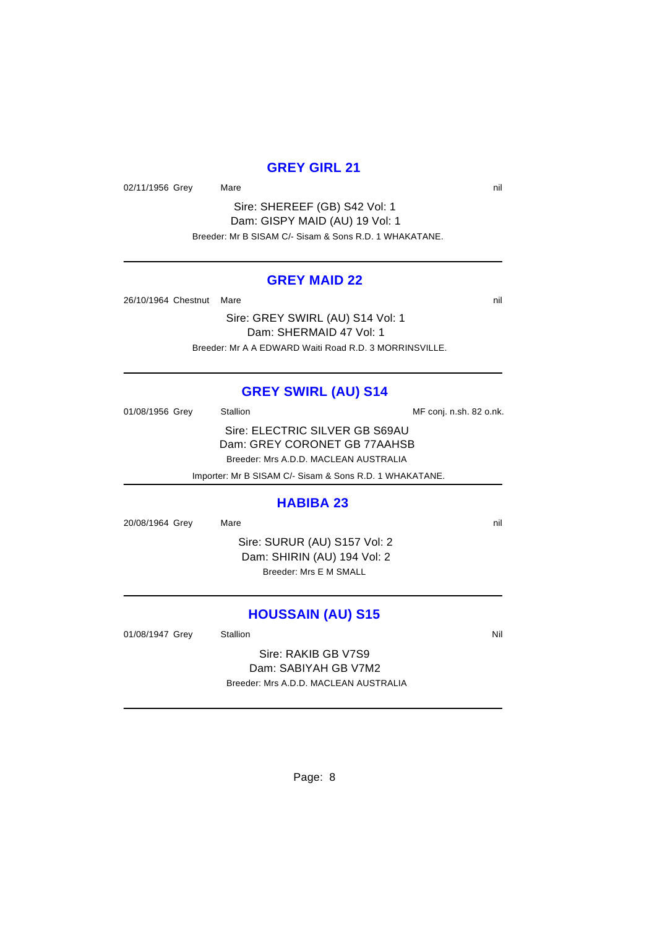# **GREY GIRL 21**

02/11/1956 Grey Mare natural Mare nill and the matrix of the matrix of the matrix of the matrix of the matrix of the matrix of the matrix of the matrix of the matrix of the matrix of the matrix of the matrix of the matrix

Sire: SHEREEF (GB) S42 Vol: 1 Dam: GISPY MAID (AU) 19 Vol: 1 Breeder: Mr B SISAM C/- Sisam & Sons R.D. 1 WHAKATANE.

### **GREY MAID 22**

26/10/1964 Chestnut Mare nill and the nill and the nill and the nill and the nill and the nill and the nill and the nill and the nill and the nill and the nill and the nill and the nill and the nill and the nill and the ni

Sire: GREY SWIRL (AU) S14 Vol: 1 Dam: SHERMAID 47 Vol: 1 Breeder: Mr A A EDWARD Waiti Road R.D. 3 MORRINSVILLE.

### **GREY SWIRL (AU) S14**

01/08/1956 Grey Stallion Stallion State State MF conj. n.sh. 82 o.nk. Sire: ELECTRIC SILVER GB S69AU Dam: GREY CORONET GB 77AAHSB Breeder: Mrs A.D.D. MACLEAN AUSTRALIA Importer: Mr B SISAM C/- Sisam & Sons R.D. 1 WHAKATANE.

#### **HABIBA 23**

20/08/1964 Grey Mare natural Mare nill and the matrix of the nill and the nill and the nill and the nill and the nill and the nill and the nill and the nill and the nill and the nill and the nill and the nill and the nill

Sire: SURUR (AU) S157 Vol: 2 Dam: SHIRIN (AU) 194 Vol: 2 Breeder: Mrs E M SMALL

#### **HOUSSAIN (AU) S15**

01/08/1947 Grey Stallion Stallion State State State State State State State State State State State State State

Sire: RAKIB GB V7S9 Dam: SABIYAH GB V7M2 Breeder: Mrs A.D.D. MACLEAN AUSTRALIA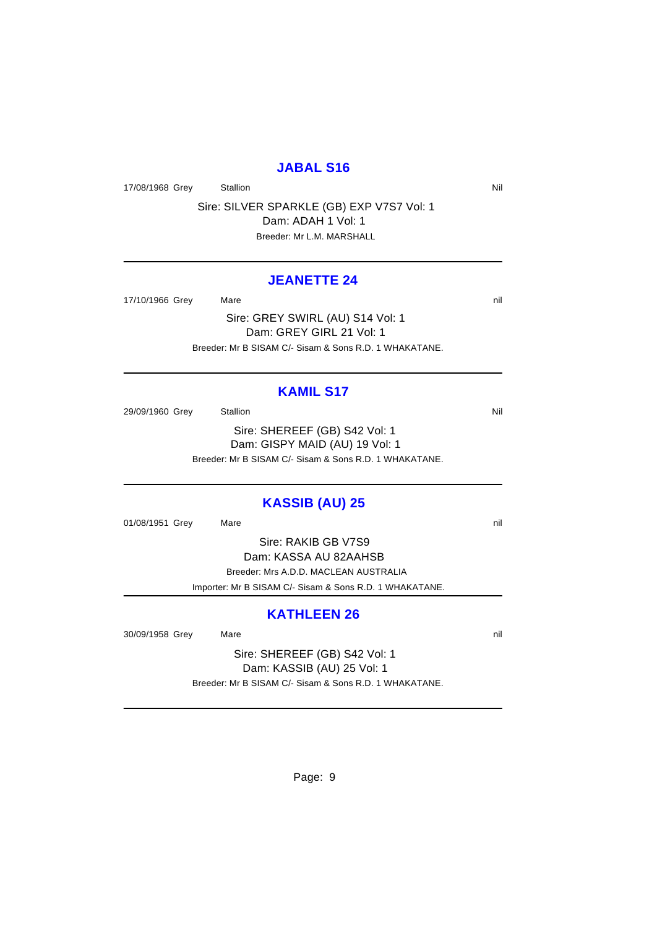### **JABAL S16**

17/08/1968 Grey Stallion Station Nil

Sire: SILVER SPARKLE (GB) EXP V7S7 Vol: 1 Dam: ADAH 1 Vol: 1 Breeder: Mr L.M. MARSHALL

#### **JEANETTE 24**

17/10/1966 Grey Mare Mare nill and the matrix of the matrix of the matrix of the matrix of the matrix of the matrix of the matrix of the matrix of the matrix of the matrix of the matrix of the matrix of the matrix of the m

Sire: GREY SWIRL (AU) S14 Vol: 1 Dam: GREY GIRL 21 Vol: 1 Breeder: Mr B SISAM C/- Sisam & Sons R.D. 1 WHAKATANE.

### **KAMIL S17**

29/09/1960 Grey Stallion Stallion State State State State State State State State State State State State State Sire: SHEREEF (GB) S42 Vol: 1 Dam: GISPY MAID (AU) 19 Vol: 1 Breeder: Mr B SISAM C/- Sisam & Sons R.D. 1 WHAKATANE.

### **KASSIB (AU) 25**

01/08/1951 Grey Mare natural Mare nill and the matrix of the matrix of the matrix of the matrix of the matrix of the matrix of the matrix of the matrix of the matrix of the matrix of the matrix of the matrix of the matrix

Sire: RAKIB GB V7S9

Dam: KASSA AU 82AAHSB

Breeder: Mrs A.D.D. MACLEAN AUSTRALIA

Importer: Mr B SISAM C/- Sisam & Sons R.D. 1 WHAKATANE.

#### **KATHLEEN 26**

30/09/1958 Grey Mare Mare nill and the state of the nill and the nill and the nill and the nill and the nill and the nill and the nill and the nill and the nill and the nill and the nill and the nill and the nill and the n

Sire: SHEREEF (GB) S42 Vol: 1 Dam: KASSIB (AU) 25 Vol: 1 Breeder: Mr B SISAM C/- Sisam & Sons R.D. 1 WHAKATANE.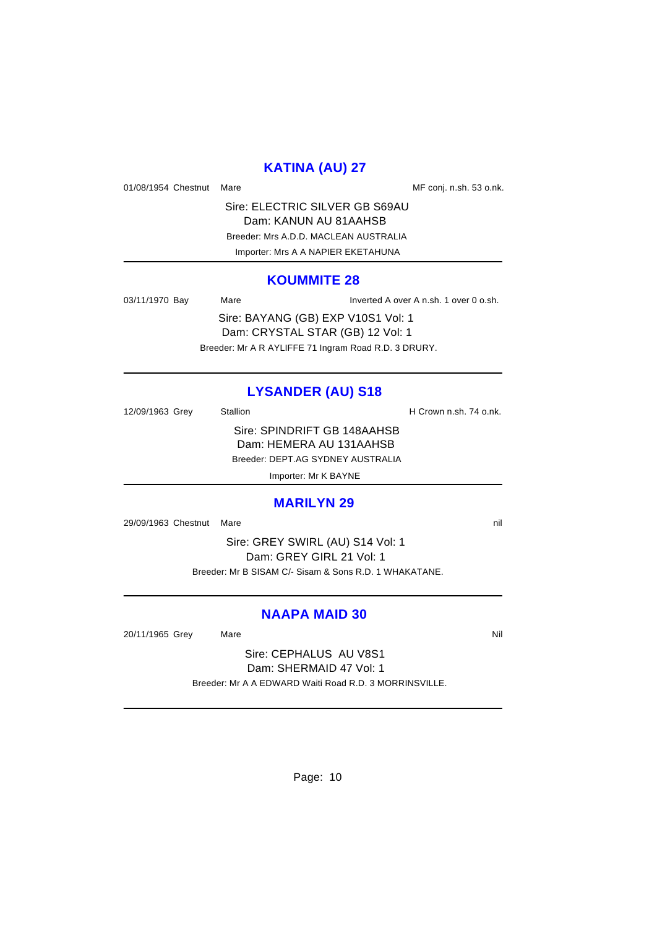# **KATINA (AU) 27**

01/08/1954 Chestnut Mare Mare Messing MF conj. n.sh. 53 o.nk.

Sire: ELECTRIC SILVER GB S69AU Dam: KANUN AU 81AAHSB Breeder: Mrs A.D.D. MACLEAN AUSTRALIA Importer: Mrs A A NAPIER EKETAHUNA

#### **KOUMMITE 28**

03/11/1970 Bay Mare Inverted A over A n.sh. 1 over 0 o.sh.

Sire: BAYANG (GB) EXP V10S1 Vol: 1 Dam: CRYSTAL STAR (GB) 12 Vol: 1 Breeder: Mr A R AYLIFFE 71 Ingram Road R.D. 3 DRURY.

# **LYSANDER (AU) S18**

12/09/1963 Grey Stallion Stallion State State State State State State State State State State State State State Sire: SPINDRIFT GB 148AAHSB Dam: HEMERA AU 131AAHSB Breeder: DEPT.AG SYDNEY AUSTRALIA

Importer: Mr K BAYNE

#### **MARILYN 29**

29/09/1963 Chestnut Mare nill and the nill and the nill and the nill and the nill and the nill and the nill and the nill and the nill and the nill and the nill and the nill and the nill and the nill and the nill and the ni

Sire: GREY SWIRL (AU) S14 Vol: 1 Dam: GREY GIRL 21 Vol: 1 Breeder: Mr B SISAM C/- Sisam & Sons R.D. 1 WHAKATANE.

### **NAAPA MAID 30**

20/11/1965 Grey Mare Mare Nil

Sire: CEPHALUS AU V8S1 Dam: SHERMAID 47 Vol: 1 Breeder: Mr A A EDWARD Waiti Road R.D. 3 MORRINSVILLE.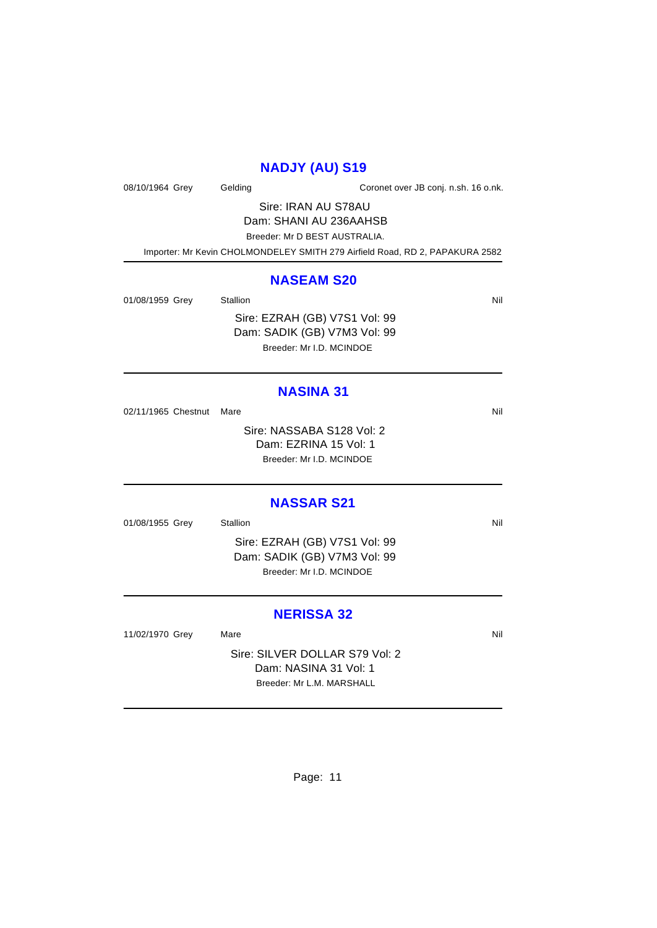# **NADJY (AU) S19**

08/10/1964 Grey Gelding Coronet over JB conj. n.sh. 16 o.nk.

Sire: IRAN AU S78AU Dam: SHANI AU 236AAHSB Breeder: Mr D BEST AUSTRALIA. Importer: Mr Kevin CHOLMONDELEY SMITH 279 Airfield Road, RD 2, PAPAKURA 2582

#### **NASEAM S20**

01/08/1959 Grey Stallion Nil Sire: EZRAH (GB) V7S1 Vol: 99 Dam: SADIK (GB) V7M3 Vol: 99

Breeder: Mr I.D. MCINDOE

# **NASINA 31**

02/11/1965 Chestnut Mare Nil

Sire: NASSABA S128 Vol: 2 Dam: EZRINA 15 Vol: 1 Breeder: Mr I.D. MCINDOE

### **NASSAR S21**

01/08/1955 Grey Stallion Stallion Nil Sire: EZRAH (GB) V7S1 Vol: 99 Dam: SADIK (GB) V7M3 Vol: 99 Breeder: Mr I.D. MCINDOE

# **NERISSA 32**

11/02/1970 Grey Mare Mare Nil

Sire: SILVER DOLLAR S79 Vol: 2 Dam: NASINA 31 Vol: 1 Breeder: Mr L.M. MARSHALL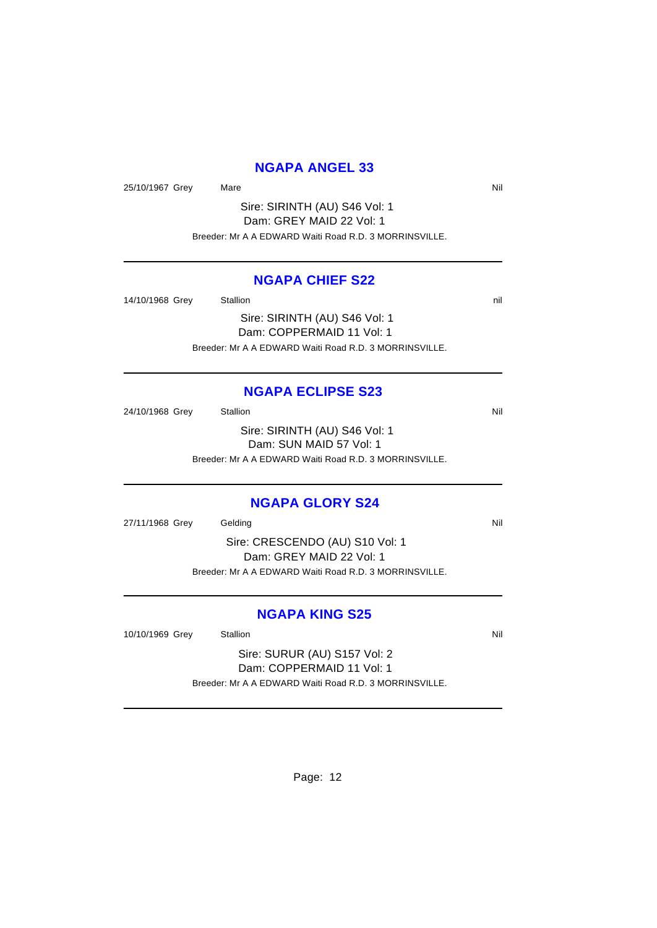### **NGAPA ANGEL 33**

25/10/1967 Grey Mare Nil

Sire: SIRINTH (AU) S46 Vol: 1 Dam: GREY MAID 22 Vol: 1 Breeder: Mr A A EDWARD Waiti Road R.D. 3 MORRINSVILLE.

### **NGAPA CHIEF S22**

14/10/1968 Grey Stallion 3. Stallion 3. The State of the State of the State of the State of the State of the State of the State of the State of the State of the State of the State of the State of the State of the State of Sire: SIRINTH (AU) S46 Vol: 1 Dam: COPPERMAID 11 Vol: 1

Breeder: Mr A A EDWARD Waiti Road R.D. 3 MORRINSVILLE.

#### **NGAPA ECLIPSE S23**

24/10/1968 Grey Stallion Nil Sire: SIRINTH (AU) S46 Vol: 1 Dam: SUN MAID 57 Vol: 1 Breeder: Mr A A EDWARD Waiti Road R.D. 3 MORRINSVILLE.

#### **NGAPA GLORY S24**

27/11/1968 Grey Gelding Nill and Service Control of the Nill and Service Control of the Nill and Service Control of the Nill and Service Control of the Nill and Service Control of the Nill and Service Control of the Nill a

Sire: CRESCENDO (AU) S10 Vol: 1 Dam: GREY MAID 22 Vol: 1 Breeder: Mr A A EDWARD Waiti Road R.D. 3 MORRINSVILLE.

### **NGAPA KING S25**

10/10/1969 Grey Stallion Station Nil

Sire: SURUR (AU) S157 Vol: 2 Dam: COPPERMAID 11 Vol: 1 Breeder: Mr A A EDWARD Waiti Road R.D. 3 MORRINSVILLE.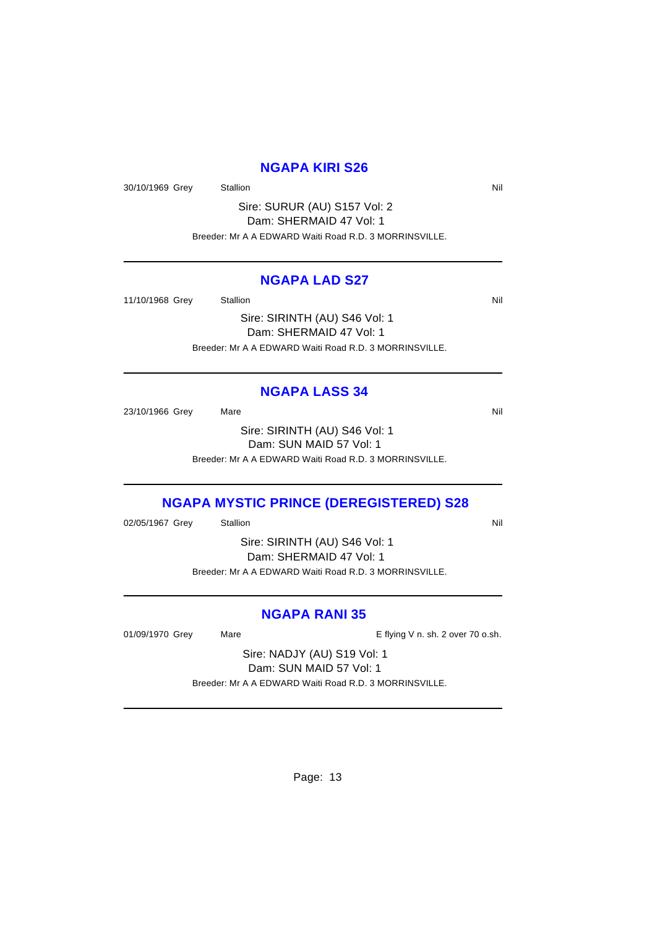### **NGAPA KIRI S26**

30/10/1969 Grey Stallion States States and States and States States and Nil

Sire: SURUR (AU) S157 Vol: 2 Dam: SHERMAID 47 Vol: 1 Breeder: Mr A A EDWARD Waiti Road R.D. 3 MORRINSVILLE.

### **NGAPA LAD S27**

11/10/1968 Grey Stallion Stallion Stallion State State State State State State State State State State State State State State State State State State State State State State State State State State State State State State

Sire: SIRINTH (AU) S46 Vol: 1 Dam: SHERMAID 47 Vol: 1 Breeder: Mr A A EDWARD Waiti Road R.D. 3 MORRINSVILLE.

### **NGAPA LASS 34**

23/10/1966 Grey Mare Mare Nill

Sire: SIRINTH (AU) S46 Vol: 1 Dam: SUN MAID 57 Vol: 1 Breeder: Mr A A EDWARD Waiti Road R.D. 3 MORRINSVILLE.

### **NGAPA MYSTIC PRINCE (DEREGISTERED) S28**

02/05/1967 Grey Stallion Station Station Station Nil

Sire: SIRINTH (AU) S46 Vol: 1 Dam: SHERMAID 47 Vol: 1

Breeder: Mr A A EDWARD Waiti Road R.D. 3 MORRINSVILLE.

### **NGAPA RANI 35**

01/09/1970 Grey Mare Mare E flying V n. sh. 2 over 70 o.sh.

Sire: NADJY (AU) S19 Vol: 1 Dam: SUN MAID 57 Vol: 1 Breeder: Mr A A EDWARD Waiti Road R.D. 3 MORRINSVILLE.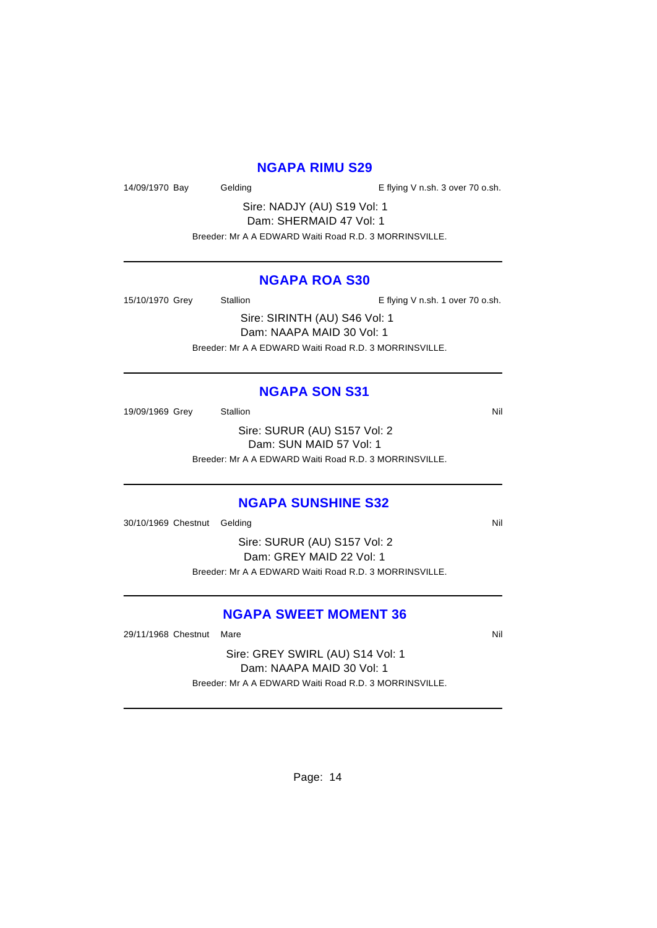#### **NGAPA RIMU S29**

14/09/1970 Bay Gelding Gelding E flying V n.sh. 3 over 70 o.sh.

Sire: NADJY (AU) S19 Vol: 1 Dam: SHERMAID 47 Vol: 1

Breeder: Mr A A EDWARD Waiti Road R.D. 3 MORRINSVILLE.

### **NGAPA ROA S30**

15/10/1970 Grey Stallion Stallion E flying V n.sh. 1 over 70 o.sh.

Sire: SIRINTH (AU) S46 Vol: 1 Dam: NAAPA MAID 30 Vol: 1 Breeder: Mr A A EDWARD Waiti Road R.D. 3 MORRINSVILLE.

### **NGAPA SON S31**

19/09/1969 Grey Stallion Nil

Sire: SURUR (AU) S157 Vol: 2 Dam: SUN MAID 57 Vol: 1 Breeder: Mr A A EDWARD Waiti Road R.D. 3 MORRINSVILLE.

### **NGAPA SUNSHINE S32**

30/10/1969 Chestnut Gelding Nill and Solid Annual Control of Nill and Solid Annual Control of Nill and Nill and Nill and Nill and Nill and Nill and Nill and Nill and Nill and Nill and Nill and Nill and Nill and Nill and Ni

Sire: SURUR (AU) S157 Vol: 2 Dam: GREY MAID 22 Vol: 1 Breeder: Mr A A EDWARD Waiti Road R.D. 3 MORRINSVILLE.

# **NGAPA SWEET MOMENT 36**

29/11/1968 Chestnut Mare Nill and South Art 2011 1968 Chestnut Mare Nill and South Art 2011 1968 Nill

Sire: GREY SWIRL (AU) S14 Vol: 1 Dam: NAAPA MAID 30 Vol: 1 Breeder: Mr A A EDWARD Waiti Road R.D. 3 MORRINSVILLE.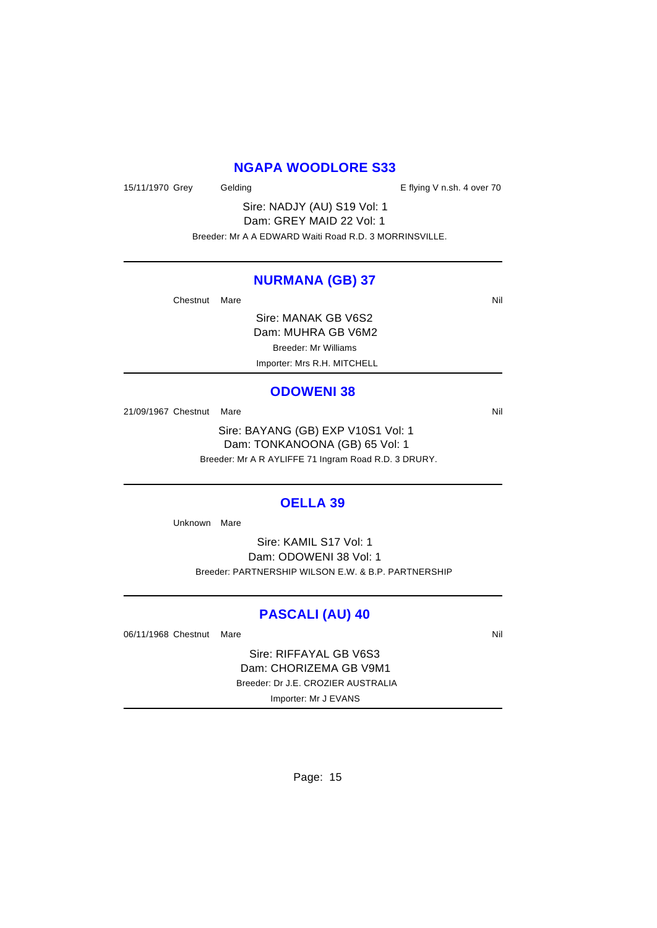### **NGAPA WOODLORE S33**

15/11/1970 Grey Gelding Cases Contains the E flying V n.sh. 4 over 70

Sire: NADJY (AU) S19 Vol: 1 Dam: GREY MAID 22 Vol: 1 Breeder: Mr A A EDWARD Waiti Road R.D. 3 MORRINSVILLE.

#### **NURMANA (GB) 37**

Chestnut Mare Nil

Sire: MANAK GB V6S2 Dam: MUHRA GB V6M2 Breeder: Mr Williams Importer: Mrs R.H. MITCHELL

#### **ODOWENI 38**

21/09/1967 Chestnut Mare Nil

Sire: BAYANG (GB) EXP V10S1 Vol: 1 Dam: TONKANOONA (GB) 65 Vol: 1 Breeder: Mr A R AYLIFFE 71 Ingram Road R.D. 3 DRURY.

#### **OELLA 39**

Unknown Mare

Sire: KAMIL S17 Vol: 1 Dam: ODOWENI 38 Vol: 1 Breeder: PARTNERSHIP WILSON E.W. & B.P. PARTNERSHIP

#### **PASCALI (AU) 40**

06/11/1968 Chestnut Mare Nill and South Art and South Art and South Art and Nill and Nill and Nill and Nill and Nill and Nill and Nill and Nill and Nill and Nill and Nill and Nill and Nill and Nill and Nill and Nill and Ni

Sire: RIFFAYAL GB V6S3 Dam: CHORIZEMA GB V9M1 Breeder: Dr J.E. CROZIER AUSTRALIA Importer: Mr J EVANS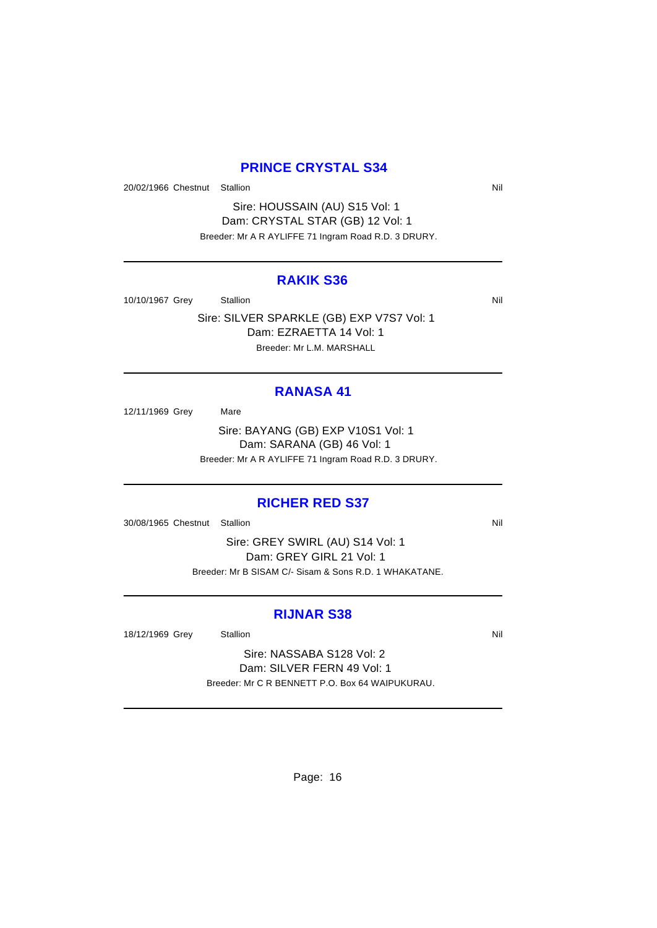### **PRINCE CRYSTAL S34**

20/02/1966 Chestnut Stallion Nil

Sire: HOUSSAIN (AU) S15 Vol: 1 Dam: CRYSTAL STAR (GB) 12 Vol: 1 Breeder: Mr A R AYLIFFE 71 Ingram Road R.D. 3 DRURY.

#### **RAKIK S36**

10/10/1967 Grey Stallion Stallion Nil

Sire: SILVER SPARKLE (GB) EXP V7S7 Vol: 1 Dam: EZRAETTA 14 Vol: 1 Breeder: Mr L.M. MARSHALL

### **RANASA 41**

12/11/1969 Grey Mare

Sire: BAYANG (GB) EXP V10S1 Vol: 1 Dam: SARANA (GB) 46 Vol: 1 Breeder: Mr A R AYLIFFE 71 Ingram Road R.D. 3 DRURY.

### **RICHER RED S37**

30/08/1965 Chestnut Stallion Nill and State of American Nill and State of American Nill and State of American Nil

Sire: GREY SWIRL (AU) S14 Vol: 1 Dam: GREY GIRL 21 Vol: 1 Breeder: Mr B SISAM C/- Sisam & Sons R.D. 1 WHAKATANE.

### **RIJNAR S38**

18/12/1969 Grey Stallion States and States and States and States and Nil

Sire: NASSABA S128 Vol: 2 Dam: SILVER FERN 49 Vol: 1 Breeder: Mr C R BENNETT P.O. Box 64 WAIPUKURAU.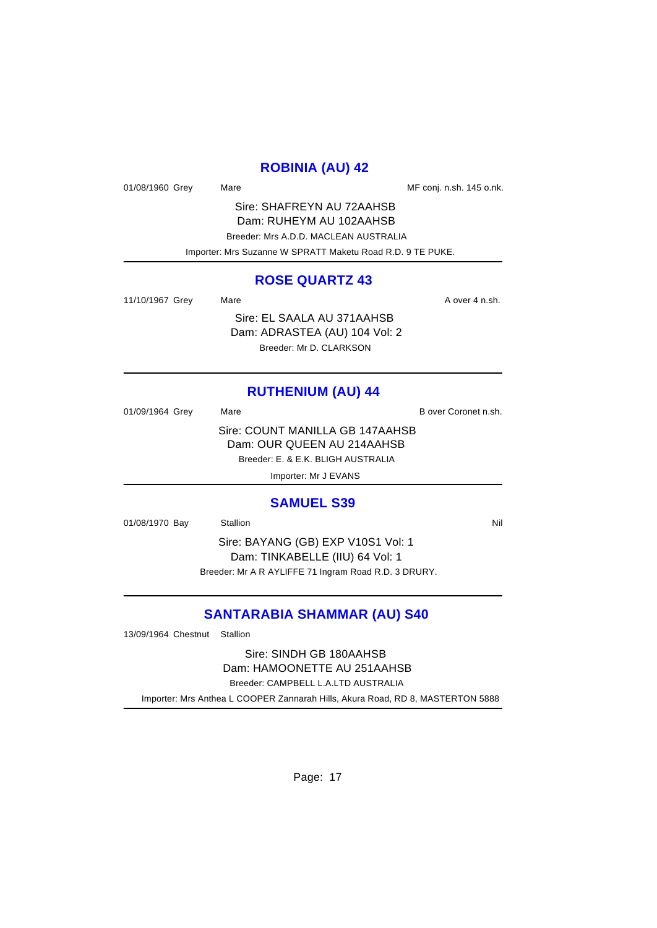## **ROBINIA (AU) 42**

01/08/1960 Grey Mare Mare Mare MF conj. n.sh. 145 o.nk.

Sire: SHAFREYN AU 72AAHSB Dam: RUHEYM AU 102AAHSB Breeder: Mrs A.D.D. MACLEAN AUSTRALIA Importer: Mrs Suzanne W SPRATT Maketu Road R.D. 9 TE PUKE.

### **ROSE QUARTZ 43**

11/10/1967 Grey Mare Mare A over 4 n.sh. Sire: EL SAALA AU 371AAHSB Dam: ADRASTEA (AU) 104 Vol: 2

Breeder: Mr D. CLARKSON

# **RUTHENIUM (AU) 44**

01/09/1964 Grey Mare Mare B over Coronet n.sh. Sire: COUNT MANILLA GB 147AAHSB Dam: OUR QUEEN AU 214AAHSB Breeder: E. & E.K. BLIGH AUSTRALIA Importer: Mr J EVANS

#### **SAMUEL S39**

01/08/1970 Bay Stallion Stallion Nil

Sire: BAYANG (GB) EXP V10S1 Vol: 1 Dam: TINKABELLE (IIU) 64 Vol: 1 Breeder: Mr A R AYLIFFE 71 Ingram Road R.D. 3 DRURY.

# **SANTARABIA SHAMMAR (AU) S40**

13/09/1964 Chestnut Stallion

Sire: SINDH GB 180AAHSB Dam: HAMOONETTE AU 251AAHSB Breeder: CAMPBELL L.A.LTD AUSTRALIA

Importer: Mrs Anthea L COOPER Zannarah Hills, Akura Road, RD 8, MASTERTON 5888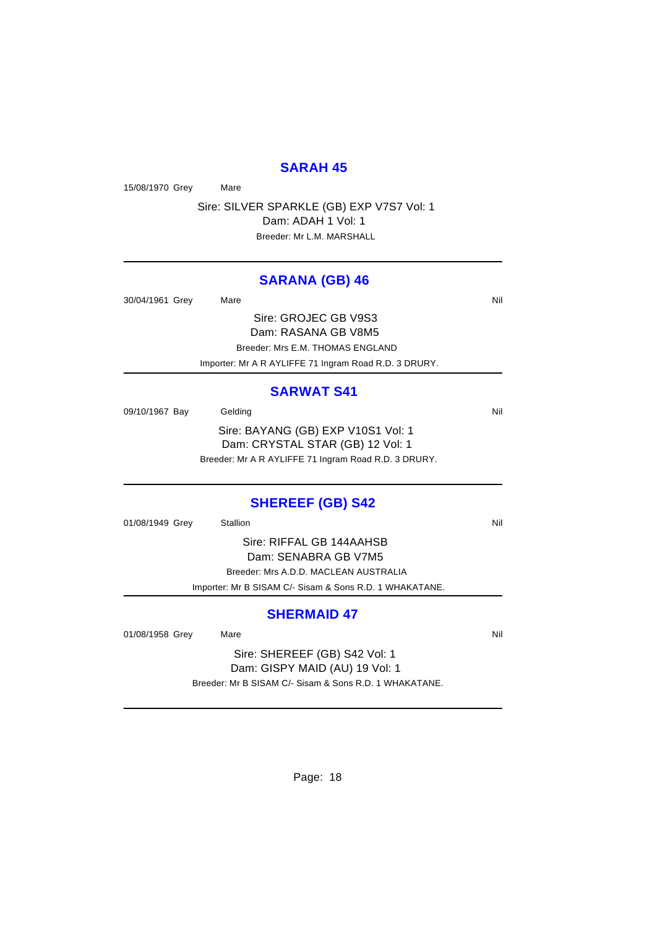#### **SARAH 45**

15/08/1970 Grey Mare

Sire: SILVER SPARKLE (GB) EXP V7S7 Vol: 1 Dam: ADAH 1 Vol: 1 Breeder: Mr L.M. MARSHALL

#### **SARANA (GB) 46**

30/04/1961 Grey Mare Mare Nil Sire: GROJEC GB V9S3

Dam: RASANA GB V8M5 Breeder: Mrs E.M. THOMAS ENGLAND

Importer: Mr A R AYLIFFE 71 Ingram Road R.D. 3 DRURY.

### **SARWAT S41**

09/10/1967 Bay Gelding Care Contact Contact Contact Contact Contact Contact Contact Contact Contact Contact Co Sire: BAYANG (GB) EXP V10S1 Vol: 1 Dam: CRYSTAL STAR (GB) 12 Vol: 1 Breeder: Mr A R AYLIFFE 71 Ingram Road R.D. 3 DRURY.

### **SHEREEF (GB) S42**

01/08/1949 Grey Stallion Stallion Nil

Sire: RIFFAL GB 144AAHSB Dam: SENABRA GB V7M5 Breeder: Mrs A.D.D. MACLEAN AUSTRALIA Importer: Mr B SISAM C/- Sisam & Sons R.D. 1 WHAKATANE.

#### **SHERMAID 47**

01/08/1958 Grey Mare Mare Nil

Sire: SHEREEF (GB) S42 Vol: 1 Dam: GISPY MAID (AU) 19 Vol: 1 Breeder: Mr B SISAM C/- Sisam & Sons R.D. 1 WHAKATANE.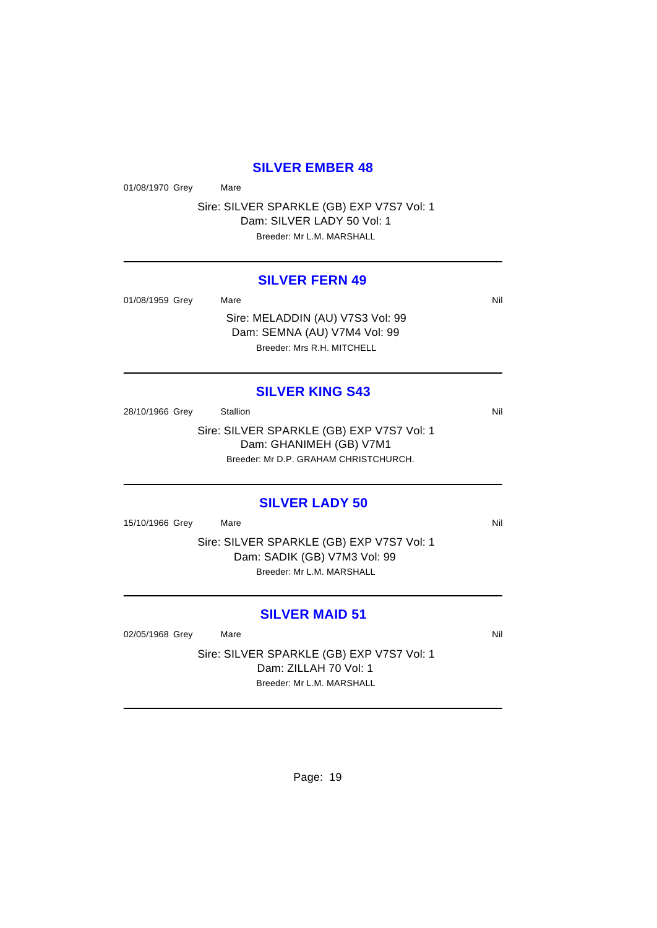#### **SILVER EMBER 48**

01/08/1970 Grey Mare

Sire: SILVER SPARKLE (GB) EXP V7S7 Vol: 1 Dam: SILVER LADY 50 Vol: 1 Breeder: Mr L.M. MARSHALL

#### **SILVER FERN 49**

01/08/1959 Grey Mare National Millette Mare Nil Sire: MELADDIN (AU) V7S3 Vol: 99

Dam: SEMNA (AU) V7M4 Vol: 99 Breeder: Mrs R.H. MITCHELL

#### **SILVER KING S43**

28/10/1966 Grey Stallion Stallion State State State State State State State State State State State State State Sire: SILVER SPARKLE (GB) EXP V7S7 Vol: 1 Dam: GHANIMEH (GB) V7M1 Breeder: Mr D.P. GRAHAM CHRISTCHURCH.

### **SILVER LADY 50**

15/10/1966 Grey Mare National Markets and Markets and Markets and Markets and Markets and Markets and Markets

Sire: SILVER SPARKLE (GB) EXP V7S7 Vol: 1 Dam: SADIK (GB) V7M3 Vol: 99 Breeder: Mr L.M. MARSHALL

# **SILVER MAID 51**

02/05/1968 Grey Mare National Markets of the Millet School and Millet School and Millet School and Millet School and Millet School and Millet School and Millet School and Millet School and Millet School and Millet School a

Sire: SILVER SPARKLE (GB) EXP V7S7 Vol: 1 Dam: ZILLAH 70 Vol: 1 Breeder: Mr L.M. MARSHALL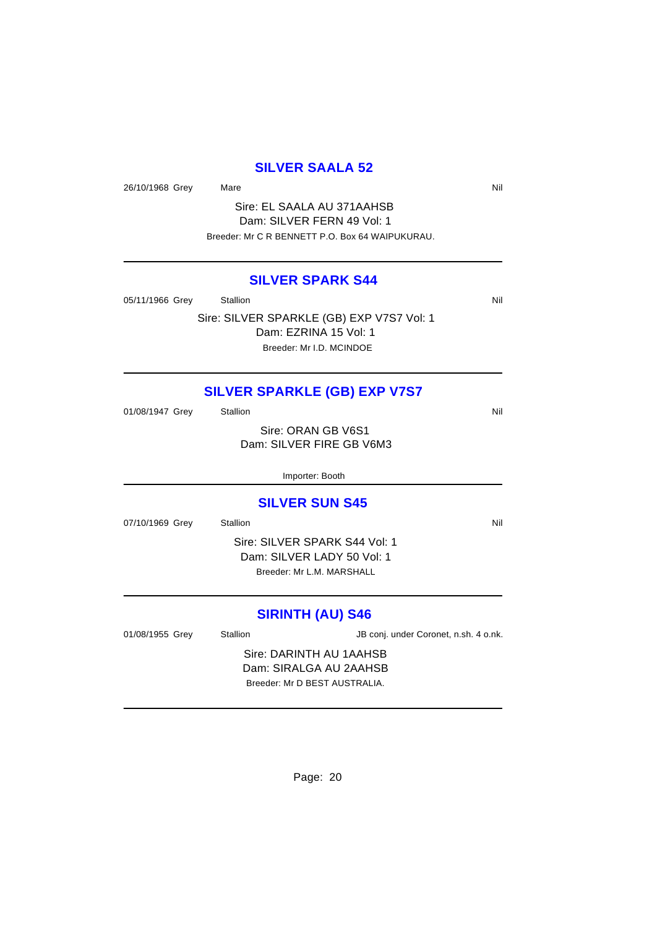# **SILVER SAALA 52**

26/10/1968 Grey Mare Natural Market Assembly Nil

Sire: EL SAALA AU 371AAHSB Dam: SILVER FERN 49 Vol: 1 Breeder: Mr C R BENNETT P.O. Box 64 WAIPUKURAU.

### **SILVER SPARK S44**

05/11/1966 Grey Stallion Station Nil

Sire: SILVER SPARKLE (GB) EXP V7S7 Vol: 1 Dam: EZRINA 15 Vol: 1 Breeder: Mr I.D. MCINDOE

# **SILVER SPARKLE (GB) EXP V7S7**

| 01/08/1947 Grey | Stallion                 | Nil |
|-----------------|--------------------------|-----|
|                 | Sire: ORAN GB V6S1       |     |
|                 | Dam: SILVER FIRE GB V6M3 |     |
|                 |                          |     |
|                 | Importer: Booth          |     |
|                 |                          |     |

### **SILVER SUN S45**

07/10/1969 Grey Stallion Station Nil

Sire: SILVER SPARK S44 Vol: 1 Dam: SILVER LADY 50 Vol: 1 Breeder: Mr L.M. MARSHALL

# **SIRINTH (AU) S46**

| 01/08/1955 Grey | Stallion                      | JB conj. under Coronet, n.sh. 4 o.nk. |  |
|-----------------|-------------------------------|---------------------------------------|--|
|                 | Sire: DARINTH AU 1AAHSB       |                                       |  |
|                 | Dam: SIRALGA AU 2AAHSB        |                                       |  |
|                 | Breeder: Mr D BEST AUSTRALIA. |                                       |  |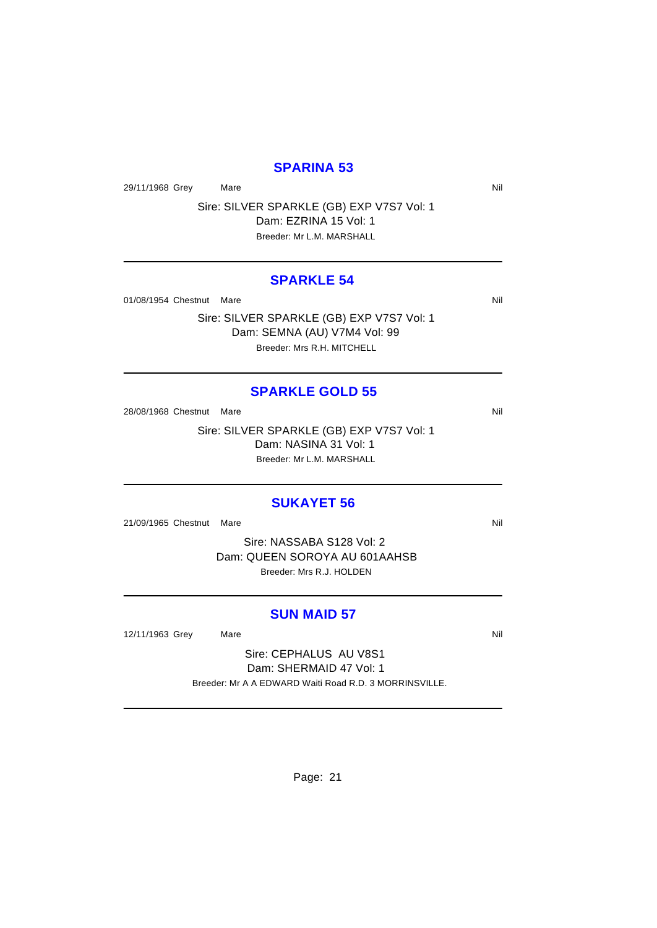### **SPARINA 53**

29/11/1968 Grey Mare Natural Market Assembly Nil

Sire: SILVER SPARKLE (GB) EXP V7S7 Vol: 1 Dam: EZRINA 15 Vol: 1 Breeder: Mr L.M. MARSHALL

#### **SPARKLE 54**

01/08/1954 Chestnut Mare Nil and Solid Mare Nil and Solid Mare Nil and Solid Mare Nil and Solid Mare Nil and Solid Mare Nil and Solid Mare Nil and Solid Mare Nil and Solid Mare Nil and Solid Mare Nil and Solid Mare Nil and

Sire: SILVER SPARKLE (GB) EXP V7S7 Vol: 1 Dam: SEMNA (AU) V7M4 Vol: 99 Breeder: Mrs R.H. MITCHELL

#### **SPARKLE GOLD 55**

28/08/1968 Chestnut Mare Nill and South Art and South Art and South Art and Nill and Nill and Nill and Nill and Nill and Nill and Nill and Nill and Nill and Nill and Nill and Nill and Nill and Nill and Nill and Nill and Ni

Sire: SILVER SPARKLE (GB) EXP V7S7 Vol: 1 Dam: NASINA 31 Vol: 1 Breeder: Mr L.M. MARSHALL

### **SUKAYET 56**

21/09/1965 Chestnut Mare Nill and Society and Society and Society and Society and Society and Society and Society and Society and Society and Society and Society and Society and Society and Society and Society and Society

Sire: NASSABA S128 Vol: 2 Dam: QUEEN SOROYA AU 601AAHSB Breeder: Mrs R.J. HOLDEN

#### **SUN MAID 57**

12/11/1963 Grey Mare Mare Nil

Sire: CEPHALUS AU V8S1 Dam: SHERMAID 47 Vol: 1 Breeder: Mr A A EDWARD Waiti Road R.D. 3 MORRINSVILLE.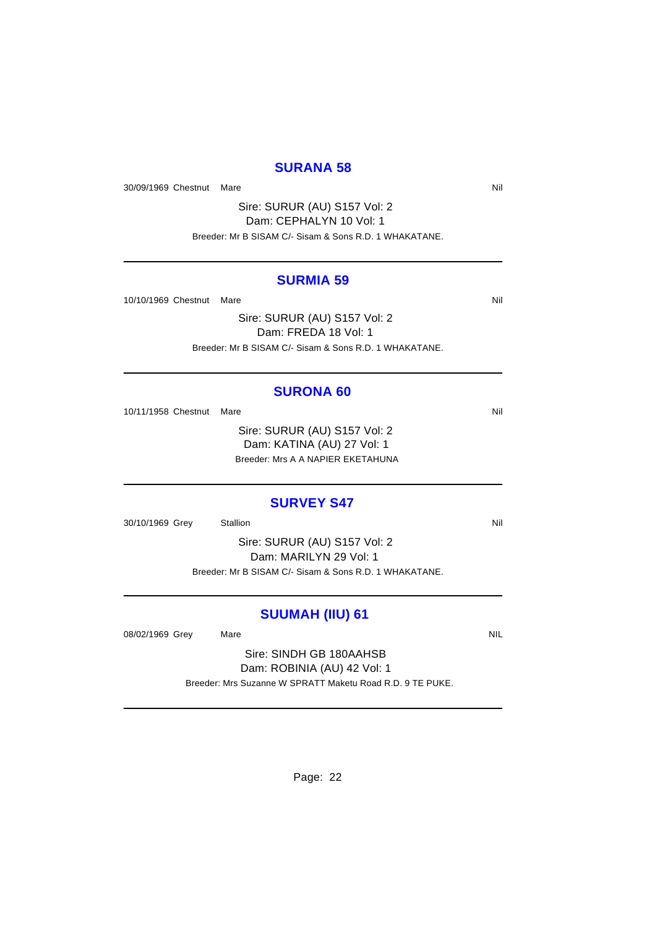### **SURANA 58**

30/09/1969 Chestnut Mare Nil and Solid Mare Nil and Solid Mare Nil and Solid Mare Nil and Solid Mare Nil and Solid Mare Nil and Solid Mare Nil and Solid Mare Nil and Solid Mare Nil and Solid Mare Nil and Solid Mare Nil and

Sire: SURUR (AU) S157 Vol: 2 Dam: CEPHALYN 10 Vol: 1 Breeder: Mr B SISAM C/- Sisam & Sons R.D. 1 WHAKATANE.

#### **SURMIA 59**

10/10/1969 Chestnut Mare Nil and South Art and South Art and South Art and South Art and Nil and Nil and Nil and Nil and Nil and Nil and Nil and Nil and Nil and Nil and Nil and Nil and Nil and Nil and Nil and Nil and Nil a

Sire: SURUR (AU) S157 Vol: 2 Dam: FREDA 18 Vol: 1 Breeder: Mr B SISAM C/- Sisam & Sons R.D. 1 WHAKATANE.

#### **SURONA 60**

10/11/1958 Chestnut Mare Nil

Sire: SURUR (AU) S157 Vol: 2 Dam: KATINA (AU) 27 Vol: 1 Breeder: Mrs A A NAPIER EKETAHUNA

#### **SURVEY S47**

30/10/1969 Grey Stallion Stallion Stallion State State State State State State State State State State State State State State State State State State State State State State State State State State State State State State

Sire: SURUR (AU) S157 Vol: 2 Dam: MARILYN 29 Vol: 1 Breeder: Mr B SISAM C/- Sisam & Sons R.D. 1 WHAKATANE.

# **SUUMAH (IIU) 61**

08/02/1969 Grey Mare Mare NIL

Sire: SINDH GB 180AAHSB Dam: ROBINIA (AU) 42 Vol: 1 Breeder: Mrs Suzanne W SPRATT Maketu Road R.D. 9 TE PUKE.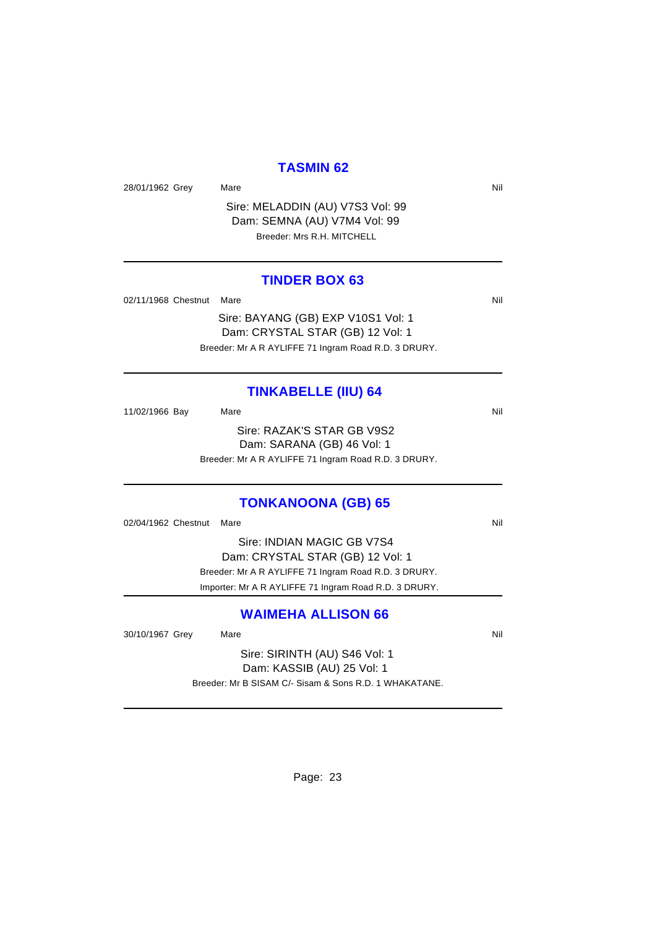#### **TASMIN 62**

28/01/1962 Grey Mare Mare Nil

Sire: MELADDIN (AU) V7S3 Vol: 99 Dam: SEMNA (AU) V7M4 Vol: 99 Breeder: Mrs R.H. MITCHELL

### **TINDER BOX 63**

02/11/1968 Chestnut Mare Nill and South Art Nill and South Art Nill and South Art Nill and South Art Nill and South Art Nill and South Art Nill and South Art Nill and South Art Nill and South Art Nill and South Art Nill an

Sire: BAYANG (GB) EXP V10S1 Vol: 1 Dam: CRYSTAL STAR (GB) 12 Vol: 1 Breeder: Mr A R AYLIFFE 71 Ingram Road R.D. 3 DRURY.

### **TINKABELLE (IIU) 64**

11/02/1966 Bay Mare Mare Nil Sire: RAZAK'S STAR GB V9S2 Dam: SARANA (GB) 46 Vol: 1 Breeder: Mr A R AYLIFFE 71 Ingram Road R.D. 3 DRURY.

### **TONKANOONA (GB) 65**

02/04/1962 Chestnut Mare Nill and Solid Annual Control of Mill and Solid Annual Control of Mill and Mill and Mi

Sire: INDIAN MAGIC GB V7S4 Dam: CRYSTAL STAR (GB) 12 Vol: 1 Breeder: Mr A R AYLIFFE 71 Ingram Road R.D. 3 DRURY. Importer: Mr A R AYLIFFE 71 Ingram Road R.D. 3 DRURY.

### **WAIMEHA ALLISON 66**

30/10/1967 Grey Mare Mare Nil

Sire: SIRINTH (AU) S46 Vol: 1 Dam: KASSIB (AU) 25 Vol: 1 Breeder: Mr B SISAM C/- Sisam & Sons R.D. 1 WHAKATANE.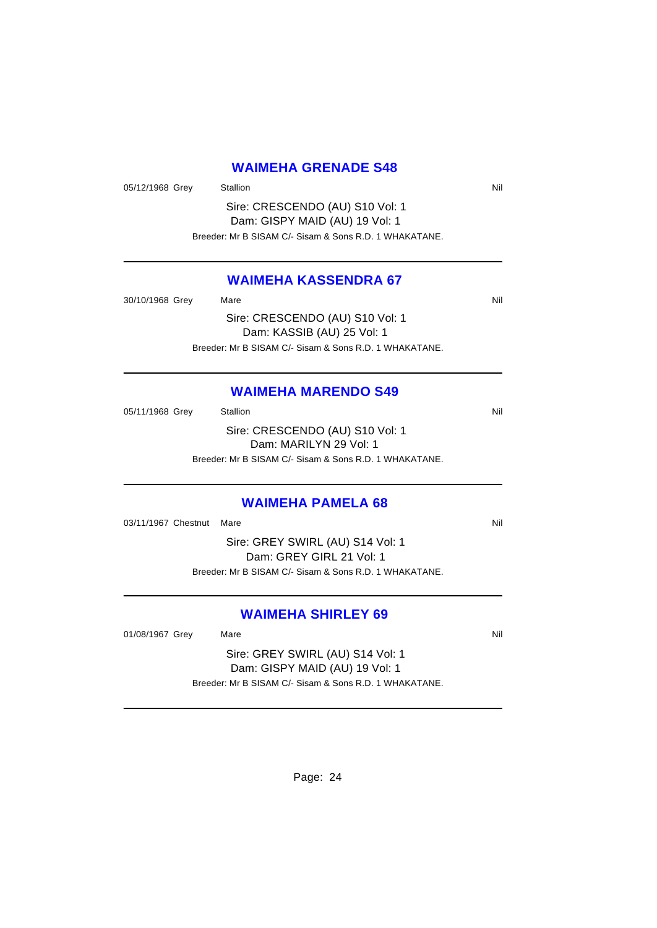# **WAIMEHA GRENADE S48**

05/12/1968 Grey Stallion States Area and States Area States Area and Nil

Sire: CRESCENDO (AU) S10 Vol: 1 Dam: GISPY MAID (AU) 19 Vol: 1 Breeder: Mr B SISAM C/- Sisam & Sons R.D. 1 WHAKATANE.

## **WAIMEHA KASSENDRA 67**

30/10/1968 Grey Mare Mare Nil Sire: CRESCENDO (AU) S10 Vol: 1 Dam: KASSIB (AU) 25 Vol: 1 Breeder: Mr B SISAM C/- Sisam & Sons R.D. 1 WHAKATANE.

### **WAIMEHA MARENDO S49**

| 05/11/1968 Grey | Stallion                                               | Nil |
|-----------------|--------------------------------------------------------|-----|
|                 | Sire: CRESCENDO (AU) S10 Vol: 1                        |     |
|                 | Dam: MARILYN 29 Vol: 1                                 |     |
|                 | Breeder: Mr B SISAM C/- Sisam & Sons R.D. 1 WHAKATANE. |     |
|                 |                                                        |     |

### **WAIMEHA PAMELA 68**

03/11/1967 Chestnut Mare Nill and Solid Annual Control of Mill and Solid Annual Control of Mill and Mill and Mi

Sire: GREY SWIRL (AU) S14 Vol: 1 Dam: GREY GIRL 21 Vol: 1 Breeder: Mr B SISAM C/- Sisam & Sons R.D. 1 WHAKATANE.

### **WAIMEHA SHIRLEY 69**

01/08/1967 Grey Mare Mare Nil

Sire: GREY SWIRL (AU) S14 Vol: 1 Dam: GISPY MAID (AU) 19 Vol: 1 Breeder: Mr B SISAM C/- Sisam & Sons R.D. 1 WHAKATANE.